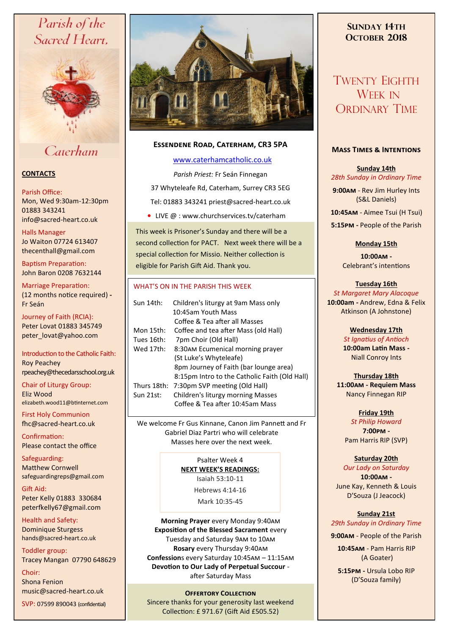# Parish of the Sacred Heart,



Caterham

# **CONTACTS**

#### Parish Office:

Mon, Wed 9:30am-12:30pm 01883 343241 info@sacred-heart.co.uk .

# Halls Manager

Jo Waiton 07724 613407 thecenthall@gmail.com

Baptism Preparation: John Baron 0208 7632144

Marriage Preparation: (12 months notice required) **-** Fr Seán

Journey of Faith (RCIA): Peter Lovat 01883 345749 peter\_lovat@yahoo.com

Introduction to the Catholic Faith: Roy Peachey rpeachey@thecedarsschool.org.uk

Chair of Liturgy Group: Eliz Wood elizabeth.wood11@btinternet.com

First Holy Communion fhc@sacred-heart.co.uk

Confirmation: Please contact the office

Safeguarding: Matthew Cornwell safeguardingreps@gmail.com

Gift Aid: Peter Kelly 01883 330684 peterfkelly67@gmail.com

Health and Safety: Dominique Sturgess hands@sacred-heart.co.uk

Toddler group: Tracey Mangan 07790 648629

Choir:

Shona Fenion music@sacred-heart.co.uk

SVP: 07599 890043 (confidential)



# **Essendene Road, Caterham, CR3 5PA**

# [www.caterhamcatholic.co.uk](http://Www.caterhamcatholic.co.uk)

*Parish Priest:* Fr Seán Finnegan 37 Whyteleafe Rd, Caterham, Surrey CR3 5EG Tel: 01883 343241 priest@sacred-heart.co.uk

• LIVE @ : www.churchservices.tv/caterham

This week is Prisoner's Sunday and there will be a second collection for PACT. Next week there will be a special collection for Missio. Neither collection is eligible for Parish Gift Aid. Thank you.

### WHAT'S ON IN THE PARISH THIS WEEK.

| Sun 14th:   | Children's liturgy at 9am Mass only           |
|-------------|-----------------------------------------------|
|             | 10:45am Youth Mass                            |
|             | Coffee & Tea after all Masses                 |
| Mon 15th:   | Coffee and tea after Mass (old Hall)          |
| Tues 16th:  | 7pm Choir (Old Hall)                          |
| Wed 17th:   | 8:30AM Ecumenical morning prayer              |
|             | (St Luke's Whyteleafe)                        |
|             | 8pm Journey of Faith (bar lounge area)        |
|             | 8:15pm Intro to the Catholic Faith (Old Hall) |
| Thurs 18th: | 7:30pm SVP meeting (Old Hall)                 |
| Sun 21st:   | Children's liturgy morning Masses             |
|             | Coffee & Tea after 10:45am Mass               |
|             |                                               |

We welcome Fr Gus Kinnane, Canon Jim Pannett and Fr Gabriel Diaz Partri who will celebrate Masses here over the next week.

> Psalter Week 4 **NEXT WEEK'S READINGS:**  Isaiah 53:10-11

Hebrews 4:14-16

Mark 10:35-45

**Morning Prayer** every Monday 9:40am **Exposition of the Blessed Sacrament** every Tuesday and Saturday 9am to 10am **Rosary** every Thursday 9:40am **Confession**s every Saturday 10:45am – 11:15am **Devotion to Our Lady of Perpetual Succour**  after Saturday Mass

## **OFFERTORY COLLECTION**

Sincere thanks for your generosity last weekend Collection: £ 971.67 (Gift Aid £505.52)

# **SUNDAY 14TH OCTOBER 2018**

# TWENTY EIGHTH WEEK IN ORDINARY TIME

# **Mass Times & Intentions**

**Sunday 14th** *28th Sunday in Ordinary Time*

**9:00am** - Rev Jim Hurley Ints (S&L Daniels)

.**10:45am** - Aimee Tsui (H Tsui)

**5:15pm -** People of the Parish

**Monday 15th**

**10:00am -**  Celebrant's intentions

# **Tuesday 16th**

*St Margaret Mary Alacoque* **10:00am -** Andrew, Edna & Felix Atkinson (A Johnstone)

> **Wednesday 17th** *St Ignatius of Antioch* **10:00am Latin Mass -** Niall Conroy Ints

**Thursday 18th 11:00am - Requiem Mass**  Nancy Finnegan RIP

**Friday 19th**  *St Philip Howard*  **7:00pm -** Pam Harris RIP (SVP)

# **Saturday 20th**

*Our Lady on Saturday* **10:00am -**  June Kay, Kenneth & Louis D'Souza (J Jeacock)

# **Sunday 21st**

*29th Sunday in Ordinary Time*

**9:00am** - People of the Parish

.**10:45am** - Pam Harris RIP (A Goater)

**5:15pm -** Ursula Lobo RIP (D'Souza family)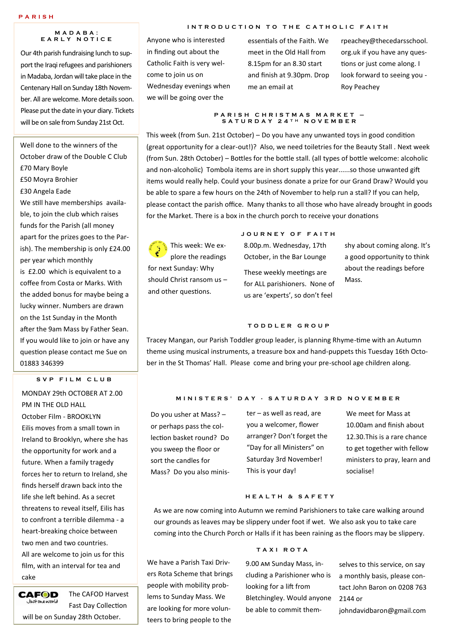#### **M A D A B A : E A R L Y N O T I C E**

Our 4th parish fundraising lunch to support the Iraqi refugees and parishioners in Madaba, Jordan will take place in the Centenary Hall on Sunday 18th November. All are welcome. More details soon. Please put the date in your diary. Tickets will be on sale from Sunday 21st Oct.

Well done to the winners of the October draw of the Double C Club £70 Mary Boyle £50 Moyra Brohier £30 Angela Eade We still have memberships available, to join the club which raises funds for the Parish (all money apart for the prizes goes to the Parish). The membership is only £24.00 per year which monthly is £2.00 which is equivalent to a coffee from Costa or Marks. With the added bonus for maybe being a lucky winner. Numbers are drawn on the 1st Sunday in the Month after the 9am Mass by Father Sean. If you would like to join or have any question please contact me Sue on 01883 346399

#### S V P F I L M C L U B

MONDAY 29th OCTOBER AT 2.00 PM IN THE OLD HALL October Film - BROOKLYN Eilis moves from a small town in Ireland to Brooklyn, where she has the opportunity for work and a future. When a family tragedy forces her to return to Ireland, she finds herself drawn back into the life she left behind. As a secret threatens to reveal itself, Eilis has to confront a terrible dilemma - a heart-breaking choice between two men and two countries. All are welcome to join us for this film, with an interval for tea and cake

**CAFOD** The CAFOD Harvest Justoneworld Fast Day Collection will be on Sunday 28th October.

#### **INTRODUCTION TO THE CATHOLIC FAITH**

Anyone who is interested in finding out about the Catholic Faith is very welcome to join us on Wednesday evenings when we will be going over the

essentials of the Faith. We meet in the Old Hall from 8.15pm for an 8.30 start and finish at 9.30pm. Drop me an email at

rpeachey@thecedarsschool. org.uk if you have any questions or just come along. I look forward to seeing you - Roy Peachey

#### **P A R I S H C H R I S T M A S M A R K E T – S A T U R D A Y 2 4 T H N O V E M B E R**

This week (from Sun. 21st October) – Do you have any unwanted toys in good condition (great opportunity for a clear-out!)? Also, we need toiletries for the Beauty Stall . Next week (from Sun. 28th October) – Bottles for the bottle stall. (all types of bottle welcome: alcoholic and non-alcoholic) Tombola items are in short supply this year......so those unwanted gift items would really help. Could your business donate a prize for our Grand Draw? Would you be able to spare a few hours on the 24th of November to help run a stall? If you can help, please contact the parish office. Many thanks to all those who have already brought in goods for the Market. There is a box in the church porch to receive your donations

Inis week: We explore the readings for next Sunday: Why should Christ ransom us – and other questions.

#### **J O U R N E Y O F F A I T H**

8.00p.m. Wednesday, 17th October, in the Bar Lounge These weekly meetings are for ALL parishioners. None of us are 'experts', so don't feel

shy about coming along. It's a good opportunity to think about the readings before Mass.

#### **T O D D L E R G R O U P**

Tracey Mangan, our Parish Toddler group leader, is planning Rhyme-time with an Autumn theme using musical instruments, a treasure box and hand-puppets this Tuesday 16th October in the St Thomas' Hall. Please come and bring your pre-school age children along.

#### **M I N I S T E R S ' D A Y - S A T U R D A Y 3 R D N O V E M B E R**

Do you usher at Mass? – or perhaps pass the collection basket round? Do you sweep the floor or sort the candles for Mass? Do you also minis-

people with mobility problems to Sunday Mass. We

teers to bring people to the

ter – as well as read, are you a welcomer, flower arranger? Don't forget the "Day for all Ministers" on Saturday 3rd November! This is your day!

We meet for Mass at 10.00am and finish about 12.30.This is a rare chance to get together with fellow ministers to pray, learn and socialise!

#### **H E A L T H & S A F E T Y**

As we are now coming into Autumn we remind Parishioners to take care walking around our grounds as leaves may be slippery under foot if wet. We also ask you to take care coming into the Church Porch or Halls if it has been raining as the floors may be slippery.

## **T A X I R O T A**

We have a Parish Taxi Drivers Rota Scheme that brings are looking for more volun-9.00 am Sunday Mass, including a Parishioner who is looking for a lift from Bletchingley. Would anyone be able to commit them-

selves to this service, on say a monthly basis, please contact John Baron on 0208 763 2144 or

johndavidbaron@gmail.com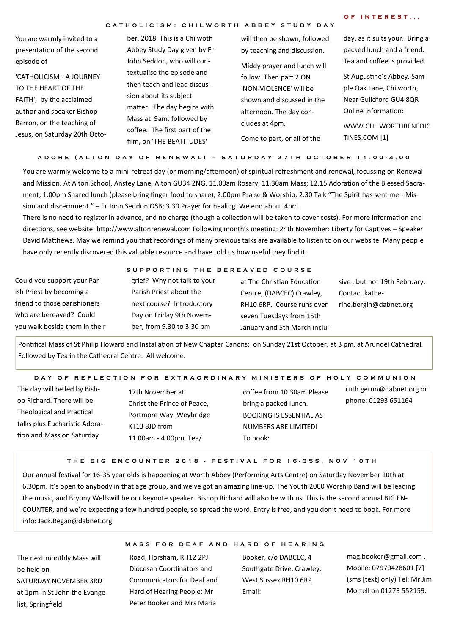#### **C A T H O L I C I S M : C H I L W O R T H A B B E Y S T U D Y D A Y**

| OF INTEREST |  |  |  |  |  |
|-------------|--|--|--|--|--|
|-------------|--|--|--|--|--|

You are warmly invited to a presentation of the second episode of

'CATHOLICISM - A JOURNEY TO THE HEART OF THE FAITH', by the acclaimed author and speaker Bishop Barron, on the teaching of Jesus, on Saturday 20th Octo-

ber, 2018. This is a Chilwoth Abbey Study Day given by Fr John Seddon, who will contextualise the episode and then teach and lead discussion about its subject matter. The day begins with Mass at 9am, followed by coffee. The first part of the film, on 'THE BEATITUDES'

will then be shown, followed by teaching and discussion. Middy prayer and lunch will follow. Then part 2 ON 'NON-VIOLENCE' will be shown and discussed in the afternoon. The day concludes at 4pm. Come to part, or all of the

day, as it suits your. Bring a packed lunch and a friend. Tea and coffee is provided.

St Augustine's Abbey, Sample Oak Lane, Chilworth, Near Guildford GU4 8QR Online information:

WWW.CHILWORTHBENEDIC TINES.COM [1]

**A D O R E ( A L T O N D A Y O F R E N E W A L ) – S A T U R D A Y 2 7 T H O C T O B E R 1 1 . 0 0 - 4 . 0 0**

You are warmly welcome to a mini-retreat day (or morning/afternoon) of spiritual refreshment and renewal, focussing on Renewal and Mission. At Alton School, Anstey Lane, Alton GU34 2NG. 11.00am Rosary; 11.30am Mass; 12.15 Adoration of the Blessed Sacrament; 1.00pm Shared lunch (please bring finger food to share); 2.00pm Praise & Worship; 2.30 Talk "The Spirit has sent me - Mission and discernment." – Fr John Seddon OSB; 3.30 Prayer for healing. We end about 4pm.

There is no need to register in advance, and no charge (though a collection will be taken to cover costs). For more information and directions, see website: http://www.altonrenewal.com Following month's meeting: 24th November: Liberty for Captives – Speaker David Matthews. May we remind you that recordings of many previous talks are available to listen to on our website. Many people have only recently discovered this valuable resource and have told us how useful they find it.

|                               |                             | SUPPORTING THE BEREAVED COURSE |                              |  |  |
|-------------------------------|-----------------------------|--------------------------------|------------------------------|--|--|
| Could you support your Par-   | grief? Why not talk to your | at The Christian Education     | sive, but not 19th February. |  |  |
| ish Priest by becoming a      | Parish Priest about the     | Centre, (DABCEC) Crawley,      | Contact kathe-               |  |  |
| friend to those parishioners  | next course? Introductory   | RH10 6RP. Course runs over     | rine.bergin@dabnet.org       |  |  |
| who are bereaved? Could       | Day on Friday 9th Novem-    | seven Tuesdays from 15th       |                              |  |  |
| you walk beside them in their | ber, from 9.30 to 3.30 pm   | January and 5th March inclu-   |                              |  |  |

Pontifical Mass of St Philip Howard and Installation of New Chapter Canons: on Sunday 21st October, at 3 pm, at Arundel Cathedral. Followed by Tea in the Cathedral Centre. All welcome.

#### D A Y O F R E F L E C T I ON FOR EXTRA OR DIN A R Y M IN ISTERS OF HOLY COMMUNION

The day will be led by Bishop Richard. There will be Theological and Practical talks plus Eucharistic Adoration and Mass on Saturday

17th November at Christ the Prince of Peace, Portmore Way, Weybridge KT13 8JD from 11.00am - 4.00pm. Tea/

coffee from 10.30am Please bring a packed lunch. BOOKING IS ESSENTIAL AS NUMBERS ARE LIMITED! To book:

ruth.gerun@dabnet.org or

phone: 01293 651164

#### **T H E B I G E N C O U N T E R 2 0 1 8 - F E S T I V A L F O R 1 6 - 3 5 S , N O V 1 0 T H**

Our annual festival for 16-35 year olds is happening at Worth Abbey (Performing Arts Centre) on Saturday November 10th at 6.30pm. It's open to anybody in that age group, and we've got an amazing line-up. The Youth 2000 Worship Band will be leading the music, and Bryony Wellswill be our keynote speaker. Bishop Richard will also be with us. This is the second annual BIG EN-COUNTER, and we're expecting a few hundred people, so spread the word. Entry is free, and you don't need to book. For more info: Jack.Regan@dabnet.org

The next monthly Mass will be held on SATURDAY NOVEMBER 3RD at 1pm in St John the Evangelist, Springfield

#### **M A S S F O R D E A F A N D H A R D O F H E A R I N G**

Road, Horsham, RH12 2PJ. Diocesan Coordinators and Communicators for Deaf and Hard of Hearing People: Mr Peter Booker and Mrs Maria

Booker, c/o DABCEC, 4 Southgate Drive, Crawley, West Sussex RH10 6RP. Email:

mag.booker@gmail.com . Mobile: 07970428601 [7] (sms [text] only) Tel: Mr Jim Mortell on 01273 552159.